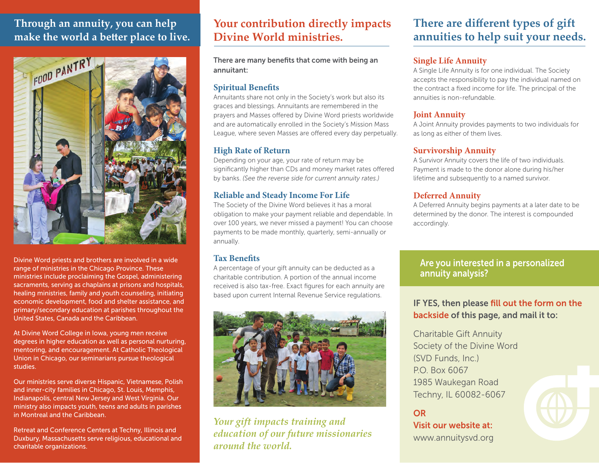## **Through an annuity, you can help make the world a better place to live.**



Divine Word priests and brothers are involved in a wide range of ministries in the Chicago Province. These ministries include proclaiming the Gospel, administering sacraments, serving as chaplains at prisons and hospitals, healing ministries, family and youth counseling, initiating economic development, food and shelter assistance, and primary/secondary education at parishes throughout the United States, Canada and the Caribbean.

At Divine Word College in Iowa, young men receive degrees in higher education as well as personal nurturing, mentoring, and encouragement. At Catholic Theological Union in Chicago, our seminarians pursue theological studies.

Our ministries serve diverse Hispanic, Vietnamese, Polish and inner-city families in Chicago, St. Louis, Memphis, Indianapolis, central New Jersey and West Virginia. Our ministry also impacts youth, teens and adults in parishes in Montreal and the Caribbean.

Retreat and Conference Centers at Techny, Illinois and Duxbury, Massachusetts serve religious, educational and charitable organizations.

# **Your contribution directly impacts Divine World ministries.**

There are many benefits that come with being an annuitant:

#### **Spiritual Benefits**

Annuitants share not only in the Society's work but also its graces and blessings. Annuitants are remembered in the prayers and Masses offered by Divine Word priests worldwide and are automatically enrolled in the Society's Mission Mass League, where seven Masses are offered every day perpetually.

#### **High Rate of Return**

Depending on your age, your rate of return may be significantly higher than CDs and money market rates offered by banks. *(See the reverse side for current annuity rates.)*

#### **Reliable and Steady Income For Life**

The Society of the Divine Word believes it has a moral obligation to make your payment reliable and dependable. In over 100 years, we never missed a payment! You can choose payments to be made monthly, quarterly, semi-annually or annually.

#### **Tax Benefits**

A percentage of your gift annuity can be deducted as a charitable contribution. A portion of the annual income received is also tax-free. Exact figures for each annuity are based upon current Internal Revenue Service regulations.



*Your gift impacts training and education of our future missionaries around the world.*

# **There are different types of gift annuities to help suit your needs.**

#### **Single Life Annuity**

A Single Life Annuity is for one individual. The Society accepts the responsibility to pay the individual named on the contract a fixed income for life. The principal of the annuities is non-refundable.

#### **Joint Annuity**

A Joint Annuity provides payments to two individuals for as long as either of them lives.

#### **Survivorship Annuity**

A Survivor Annuity covers the life of two individuals. Payment is made to the donor alone during his/her lifetime and subsequently to a named survivor.

#### **Deferred Annuity**

A Deferred Annuity begins payments at a later date to be determined by the donor. The interest is compounded accordingly.

### Are you interested in a personalized annuity analysis?

### IF YES, then please fill out the form on the backside of this page, and mail it to:

Charitable Gift Annuity Society of the Divine Word (SVD Funds, Inc.) P.O. Box 6067 1985 Waukegan Road Techny, IL 60082-6067

OR Visit our website at: www.annuitysvd.org